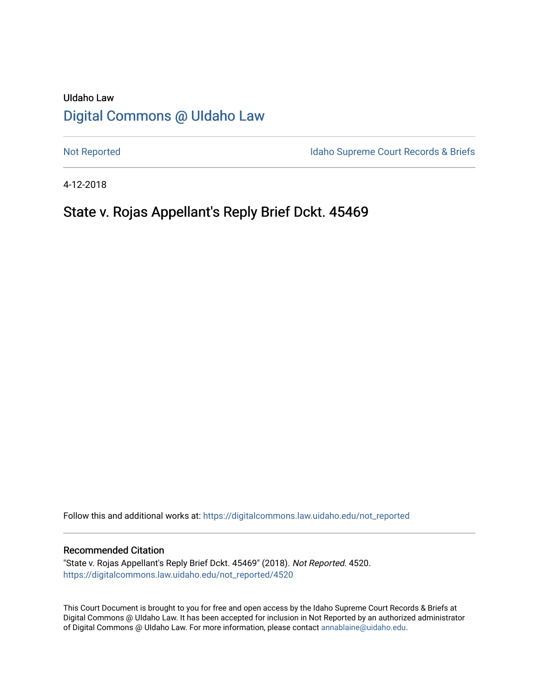# UIdaho Law [Digital Commons @ UIdaho Law](https://digitalcommons.law.uidaho.edu/)

[Not Reported](https://digitalcommons.law.uidaho.edu/not_reported) **Idaho Supreme Court Records & Briefs** 

4-12-2018

# State v. Rojas Appellant's Reply Brief Dckt. 45469

Follow this and additional works at: [https://digitalcommons.law.uidaho.edu/not\\_reported](https://digitalcommons.law.uidaho.edu/not_reported?utm_source=digitalcommons.law.uidaho.edu%2Fnot_reported%2F4520&utm_medium=PDF&utm_campaign=PDFCoverPages) 

### Recommended Citation

"State v. Rojas Appellant's Reply Brief Dckt. 45469" (2018). Not Reported. 4520. [https://digitalcommons.law.uidaho.edu/not\\_reported/4520](https://digitalcommons.law.uidaho.edu/not_reported/4520?utm_source=digitalcommons.law.uidaho.edu%2Fnot_reported%2F4520&utm_medium=PDF&utm_campaign=PDFCoverPages)

This Court Document is brought to you for free and open access by the Idaho Supreme Court Records & Briefs at Digital Commons @ UIdaho Law. It has been accepted for inclusion in Not Reported by an authorized administrator of Digital Commons @ UIdaho Law. For more information, please contact [annablaine@uidaho.edu](mailto:annablaine@uidaho.edu).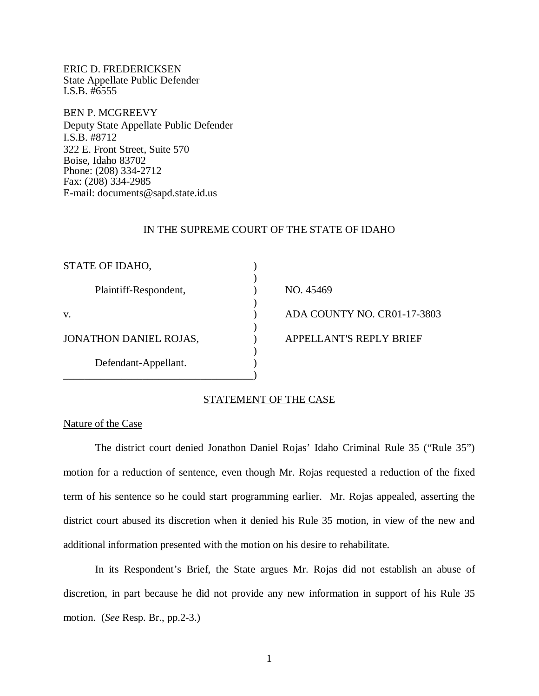ERIC D. FREDERICKSEN State Appellate Public Defender I.S.B. #6555

BEN P. MCGREEVY Deputy State Appellate Public Defender I.S.B. #8712 322 E. Front Street, Suite 570 Boise, Idaho 83702 Phone: (208) 334-2712 Fax: (208) 334-2985 E-mail: documents@sapd.state.id.us

#### IN THE SUPREME COURT OF THE STATE OF IDAHO

| STATE OF IDAHO,        |                             |
|------------------------|-----------------------------|
| Plaintiff-Respondent,  | NO. 45469                   |
| V.                     | ADA COUNTY NO. CR01-17-3803 |
| JONATHON DANIEL ROJAS, | APPELLANT'S REPLY BRIEF     |
| Defendant-Appellant.   |                             |
|                        |                             |

## STATEMENT OF THE CASE

## Nature of the Case

The district court denied Jonathon Daniel Rojas' Idaho Criminal Rule 35 ("Rule 35") motion for a reduction of sentence, even though Mr. Rojas requested a reduction of the fixed term of his sentence so he could start programming earlier. Mr. Rojas appealed, asserting the district court abused its discretion when it denied his Rule 35 motion, in view of the new and additional information presented with the motion on his desire to rehabilitate.

In its Respondent's Brief, the State argues Mr. Rojas did not establish an abuse of discretion, in part because he did not provide any new information in support of his Rule 35 motion. (*See* Resp. Br., pp.2-3.)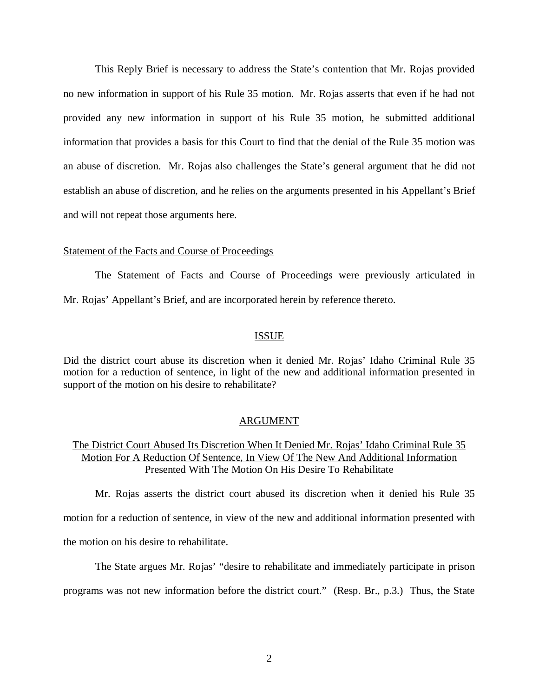This Reply Brief is necessary to address the State's contention that Mr. Rojas provided no new information in support of his Rule 35 motion. Mr. Rojas asserts that even if he had not provided any new information in support of his Rule 35 motion, he submitted additional information that provides a basis for this Court to find that the denial of the Rule 35 motion was an abuse of discretion. Mr. Rojas also challenges the State's general argument that he did not establish an abuse of discretion, and he relies on the arguments presented in his Appellant's Brief and will not repeat those arguments here.

#### Statement of the Facts and Course of Proceedings

The Statement of Facts and Course of Proceedings were previously articulated in Mr. Rojas' Appellant's Brief, and are incorporated herein by reference thereto.

#### **ISSUE**

Did the district court abuse its discretion when it denied Mr. Rojas' Idaho Criminal Rule 35 motion for a reduction of sentence, in light of the new and additional information presented in support of the motion on his desire to rehabilitate?

#### ARGUMENT

## The District Court Abused Its Discretion When It Denied Mr. Rojas' Idaho Criminal Rule 35 Motion For A Reduction Of Sentence, In View Of The New And Additional Information Presented With The Motion On His Desire To Rehabilitate

Mr. Rojas asserts the district court abused its discretion when it denied his Rule 35 motion for a reduction of sentence, in view of the new and additional information presented with the motion on his desire to rehabilitate.

The State argues Mr. Rojas' "desire to rehabilitate and immediately participate in prison programs was not new information before the district court." (Resp. Br., p.3.) Thus, the State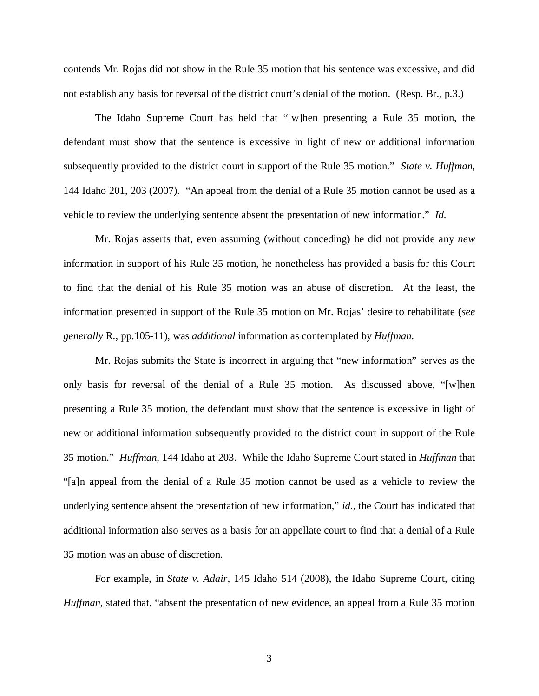contends Mr. Rojas did not show in the Rule 35 motion that his sentence was excessive, and did not establish any basis for reversal of the district court's denial of the motion. (Resp. Br., p.3.)

The Idaho Supreme Court has held that "[w]hen presenting a Rule 35 motion, the defendant must show that the sentence is excessive in light of new or additional information subsequently provided to the district court in support of the Rule 35 motion." *State v. Huffman*, 144 Idaho 201, 203 (2007). "An appeal from the denial of a Rule 35 motion cannot be used as a vehicle to review the underlying sentence absent the presentation of new information." *Id.*

Mr. Rojas asserts that, even assuming (without conceding) he did not provide any *new* information in support of his Rule 35 motion, he nonetheless has provided a basis for this Court to find that the denial of his Rule 35 motion was an abuse of discretion. At the least, the information presented in support of the Rule 35 motion on Mr. Rojas' desire to rehabilitate (*see generally* R., pp.105-11), was *additional* information as contemplated by *Huffman*.

Mr. Rojas submits the State is incorrect in arguing that "new information" serves as the only basis for reversal of the denial of a Rule 35 motion. As discussed above, "[w]hen presenting a Rule 35 motion, the defendant must show that the sentence is excessive in light of new or additional information subsequently provided to the district court in support of the Rule 35 motion." *Huffman*, 144 Idaho at 203. While the Idaho Supreme Court stated in *Huffman* that "[a]n appeal from the denial of a Rule 35 motion cannot be used as a vehicle to review the underlying sentence absent the presentation of new information," *id.*, the Court has indicated that additional information also serves as a basis for an appellate court to find that a denial of a Rule 35 motion was an abuse of discretion.

For example, in *State v. Adair*, 145 Idaho 514 (2008), the Idaho Supreme Court, citing *Huffman*, stated that, "absent the presentation of new evidence, an appeal from a Rule 35 motion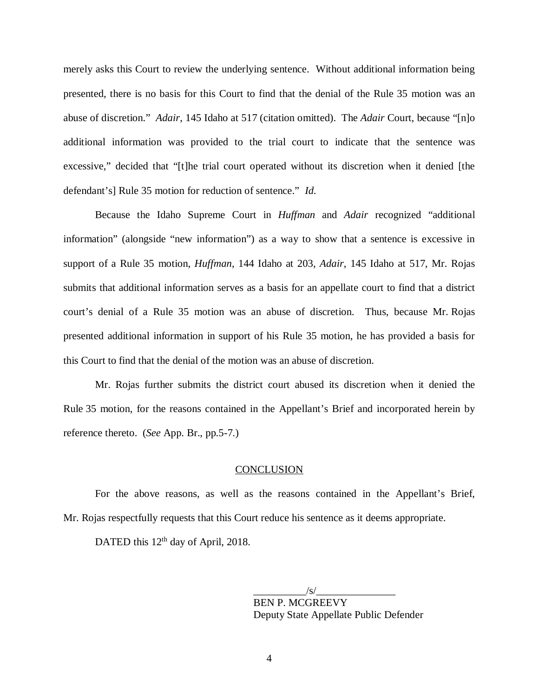merely asks this Court to review the underlying sentence. Without additional information being presented, there is no basis for this Court to find that the denial of the Rule 35 motion was an abuse of discretion." *Adair*, 145 Idaho at 517 (citation omitted). The *Adair* Court, because "[n]o additional information was provided to the trial court to indicate that the sentence was excessive," decided that "[t]he trial court operated without its discretion when it denied [the defendant's] Rule 35 motion for reduction of sentence." *Id.*

Because the Idaho Supreme Court in *Huffman* and *Adair* recognized "additional information" (alongside "new information") as a way to show that a sentence is excessive in support of a Rule 35 motion, *Huffman*, 144 Idaho at 203, *Adair*, 145 Idaho at 517, Mr. Rojas submits that additional information serves as a basis for an appellate court to find that a district court's denial of a Rule 35 motion was an abuse of discretion. Thus, because Mr. Rojas presented additional information in support of his Rule 35 motion, he has provided a basis for this Court to find that the denial of the motion was an abuse of discretion.

Mr. Rojas further submits the district court abused its discretion when it denied the Rule 35 motion, for the reasons contained in the Appellant's Brief and incorporated herein by reference thereto. (*See* App. Br., pp.5-7.)

### **CONCLUSION**

For the above reasons, as well as the reasons contained in the Appellant's Brief, Mr. Rojas respectfully requests that this Court reduce his sentence as it deems appropriate.

DATED this  $12<sup>th</sup>$  day of April, 2018.

 $\frac{1}{s}$  /s/ $\frac{1}{s}$ BEN P. MCGREEVY Deputy State Appellate Public Defender